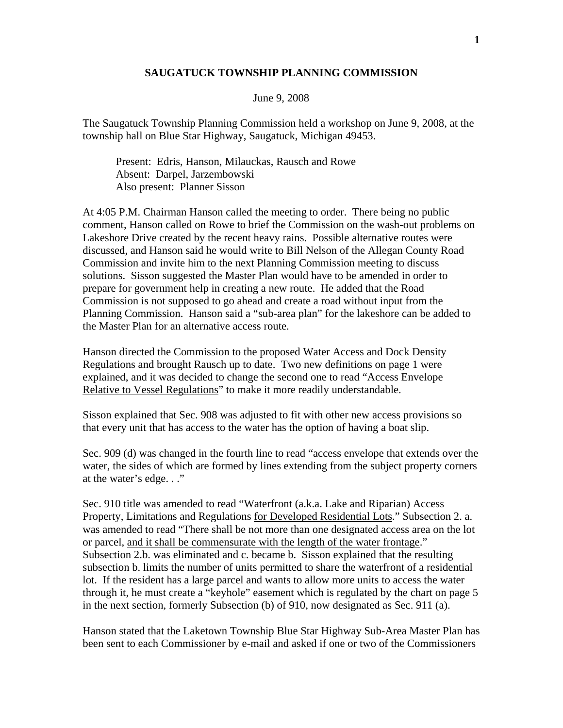## **SAUGATUCK TOWNSHIP PLANNING COMMISSION**

## June 9, 2008

The Saugatuck Township Planning Commission held a workshop on June 9, 2008, at the township hall on Blue Star Highway, Saugatuck, Michigan 49453.

 Present: Edris, Hanson, Milauckas, Rausch and Rowe Absent: Darpel, Jarzembowski Also present: Planner Sisson

At 4:05 P.M. Chairman Hanson called the meeting to order. There being no public comment, Hanson called on Rowe to brief the Commission on the wash-out problems on Lakeshore Drive created by the recent heavy rains. Possible alternative routes were discussed, and Hanson said he would write to Bill Nelson of the Allegan County Road Commission and invite him to the next Planning Commission meeting to discuss solutions. Sisson suggested the Master Plan would have to be amended in order to prepare for government help in creating a new route. He added that the Road Commission is not supposed to go ahead and create a road without input from the Planning Commission. Hanson said a "sub-area plan" for the lakeshore can be added to the Master Plan for an alternative access route.

Hanson directed the Commission to the proposed Water Access and Dock Density Regulations and brought Rausch up to date. Two new definitions on page 1 were explained, and it was decided to change the second one to read "Access Envelope Relative to Vessel Regulations" to make it more readily understandable.

Sisson explained that Sec. 908 was adjusted to fit with other new access provisions so that every unit that has access to the water has the option of having a boat slip.

Sec. 909 (d) was changed in the fourth line to read "access envelope that extends over the water, the sides of which are formed by lines extending from the subject property corners at the water's edge. . ."

Sec. 910 title was amended to read "Waterfront (a.k.a. Lake and Riparian) Access Property, Limitations and Regulations for Developed Residential Lots." Subsection 2. a. was amended to read "There shall be not more than one designated access area on the lot or parcel, and it shall be commensurate with the length of the water frontage." Subsection 2.b. was eliminated and c. became b. Sisson explained that the resulting subsection b. limits the number of units permitted to share the waterfront of a residential lot. If the resident has a large parcel and wants to allow more units to access the water through it, he must create a "keyhole" easement which is regulated by the chart on page 5 in the next section, formerly Subsection (b) of 910, now designated as Sec. 911 (a).

Hanson stated that the Laketown Township Blue Star Highway Sub-Area Master Plan has been sent to each Commissioner by e-mail and asked if one or two of the Commissioners